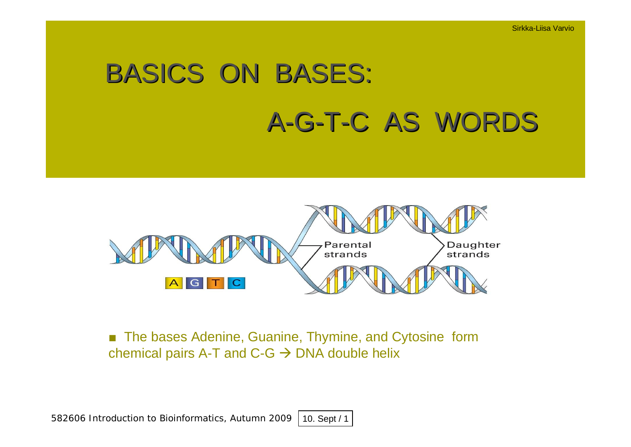# BASICS ON BASES: A-G-T-C AS WORDS



■ The bases Adenine, Guanine, Thymine, and Cytosine form chemical pairs A-T and  $C-G \rightarrow DNA$  double helix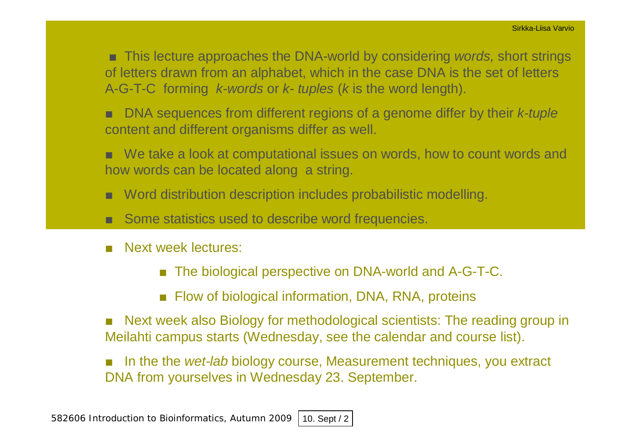**This lecture approaches the DNA-world by considering** *words***, short strings** of letters drawn from an alphabet, which in the case DNA is the set of letters A-G-T-C forming *k-words* or *k- tuples* (*k* is the word length).

- DNA sequences from different regions of a genome differ by their *k-tuple* content and different organisms differ as well.
- $\blacksquare$  We take a look at computational issues on words, how to count words and how words can be located along a string.
- Word distribution description includes probabilistic modelling.
- $\blacksquare$  Some statistics used to describe word frequencies.
- Next week lectures:
	- The biological perspective on DNA-world and A-G-T-C.
	- $\blacksquare$  Flow of biological information, DNA, RNA, proteins
- Next week also Biology for methodological scientists: The reading group in Meilahti campus starts (Wednesday, see the calendar and course list).
- In the the *wet-lab* biology course, Measurement techniques, you extract DNA from yourselves in Wednesday 23. September.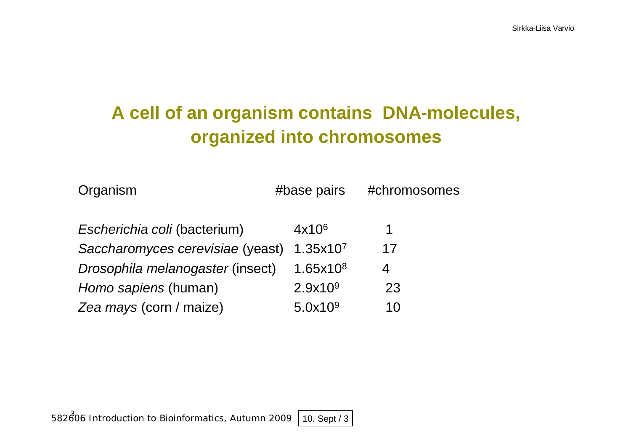# **A cell of an organism contains DNA-molecules, organized into chromosomes**

| Organism                         | #base pairs          | #chromosomes |
|----------------------------------|----------------------|--------------|
| Escherichia coli (bacterium)     | 4x10 <sup>6</sup>    | 1            |
| Saccharomyces cerevisiae (yeast) | 1.35x10 <sup>7</sup> | 17           |
| Drosophila melanogaster (insect) | 1.65x10 <sup>8</sup> | 4            |
| Homo sapiens (human)             | 2.9x10 <sup>9</sup>  | 23           |
| Zea mays (corn / maize)          | 5.0x109              | 10           |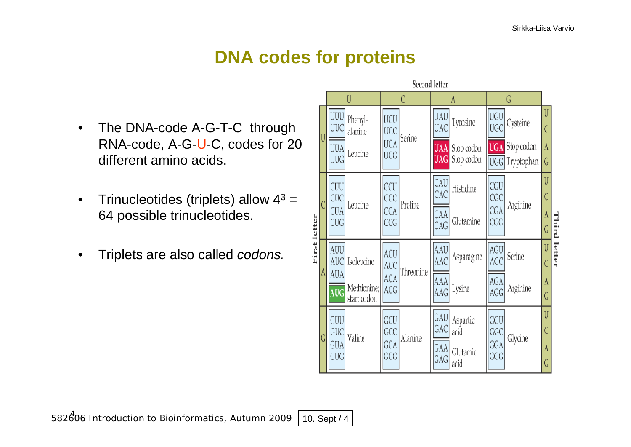# **DNA codes for proteins**

- The DNA-code A-G-T-C through RNA-code, A-G-U-C, codes for 20 different amino acids.
- Trinucleotides (triplets) allow  $4^3$  = 64 possible trinucleotides.
- Triplets are also called *codons.*

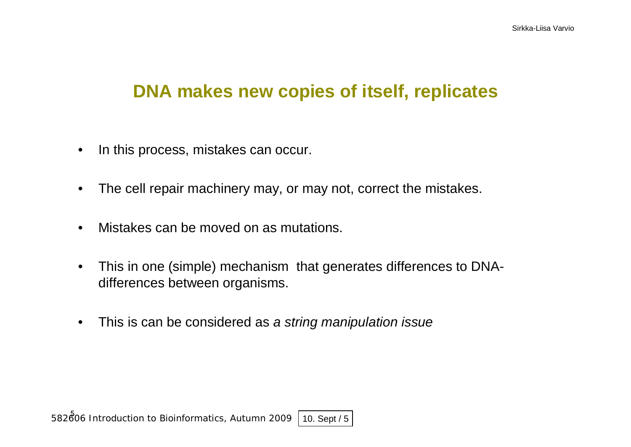# **DNA makes new copies of itself, replicates**

- In this process, mistakes can occur.
- The cell repair machinery may, or may not, correct the mistakes.
- Mistakes can be moved on as mutations.
- This in one (simple) mechanism that generates differences to DNAdifferences between organisms.
- This is can be considered as *a string manipulation issue*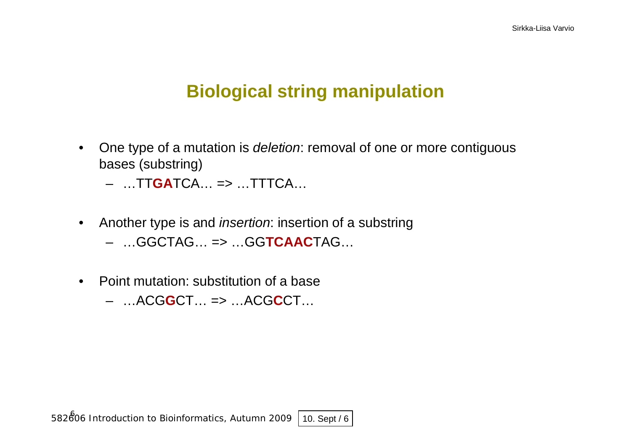# **Biological string manipulation**

- One type of a mutation is *deletion*: removal of one or more contiguous bases (substring)
	- …TT**GA**TCA… => …TTTCA…
- Another type is and *insertion*: insertion of a substring – …GGCTAG… => …GG**TCAAC**TAG…
- Point mutation: substitution of a base
	- …ACG**G**CT… => …ACG**C**CT…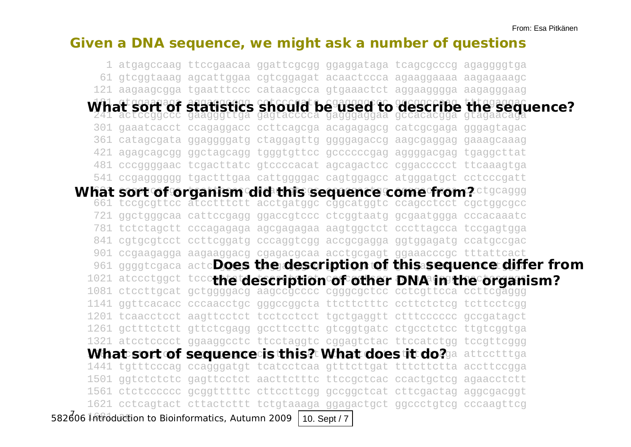#### **Given a DNA sequence, we might ask a number of questions**

582606 Introduction to Bioinformatics, Autumn 2009 10. Sept / 7 1 atgagccaag ttccgaacaa ggattcgcgg ggaggataga tcagcgcccg agaggggtga 61 gtcggtaaag agcattggaa cgtcggagat acaactccca agaaggaaaa aagagaaagc 121 aagaagcgga tgaatttccc cataacgcca gtgaaactct aggaagggga aagagggaag 1/h at gaaraga grafishag chyoriat hagaggay to gaggarana thagggaan 241 actccggccc gaagggttga gagtacccca gagggaggaa gccacacgga gtagaacaga 301 gaaatcacct ccagaggacc ccttcagcga acagagagcg catcgcgaga gggagtagac 361 catagcgata ggaggggatg ctaggagttg ggggagaccg aagcgaggag gaaagcaaag 421 agagcagcgg ggctagcagg tgggtgttcc gccccccgag aggggacgag tgaggcttat 481 cccggggaac tcgacttatc gtccccacat agcagactcc cggaccccct ttcaaagtga 541 ccgagggggg tgactttgaa cattggggac cagtggagcc atgggatgct cctcccgatt hat sort of organism did this sequence come from?¤tgcaggg 661 tccgcgttcc atcctttctt acctgatggc cggcatggtc ccagcctcct cgctggcgcc 721 ggctgggcaa cattccgagg ggaccgtccc ctcggtaatg gcgaatggga cccacaaatc 781 tctctagctt cccagagaga agcgagagaa aagtggctct cccttagcca tccgagtgga 841 cgtgcgtcct ccttcggatg cccaggtcgg accgcgagga ggtggagatg ccatgccgac 901 ccgaagagga aagaaggacg cgagacgcaa acctgcgagt ggaaacccgc tttattcact 961 ggggtcgaca actc**Does the description of this sequence differ from** 1021 atccctggct tccc**thetdeseription of other DNA initial organ** 1081 ctccttgcat gctggggacg aagccgcccc cgggcgctcc cctcgttcca ccttcgaggg 1141 ggttcacacc cccaacctgc gggccggcta ttcttctttc ccttctctcg tcttcctcgg 1201 tcaacctcct aagttcctct tcctcctcct tgctgaggtt ctttcccccc gccgatagct 1261 gctttctctt gttctcgagg gccttccttc gtcggtgatc ctgcctctcc ttgtcggtga 1321 atcctcccct ggaaggcctc ttcctaggtc cggagtctac ttccatctgg tccgttcggg What sort of sequence is this? What doestit do? a attectttga 1441 tgtttcccag ccagggatgt tcatcctcaa gtttcttgat tttcttctta accttccgga 1501 ggtctctctc gagttcctct aacttctttc ttccgctcac ccactgctcg agaacctctt 1561 ctctcccccc gcggtttttc cttccttcgg gccggctcat cttcgactag aggcgacggt 1621 cctcagtact cttactcttt tctgtaaaga ggagactgct ggccctgtcg cccaagttcg *What sort of statistics should be used to describe the sequence? What sort of organism did this sequence come from? the description of other DNA in the organism?*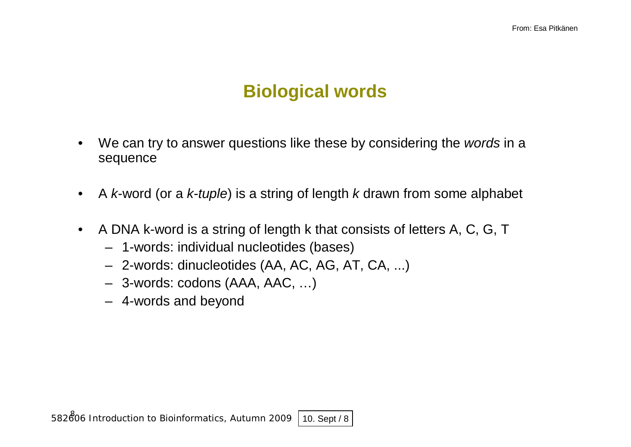# **Biological words**

- We can try to answer questions like these by considering the *words* in a sequence
- A *k*-word (or a *k-tuple*) is a string of length *k* drawn from some alphabet
- A DNA k-word is a string of length k that consists of letters A, C, G, T
	- 1-words: individual nucleotides (bases)
	- 2-words: dinucleotides (AA, AC, AG, AT, CA, ...)
	- 3-words: codons (AAA, AAC, …)
	- 4-words and beyond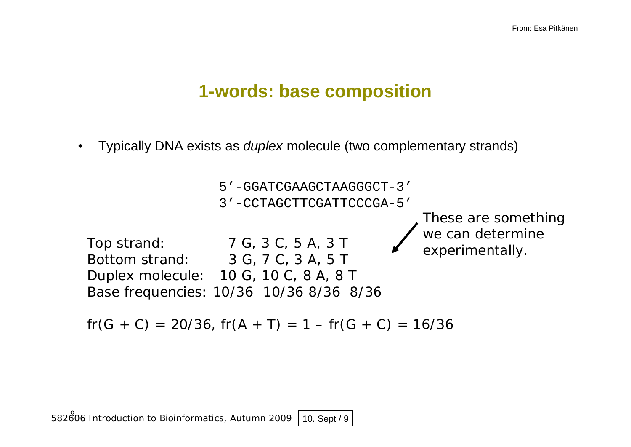# **1-words: base composition**

• Typically DNA exists as *duplex* molecule (two complementary strands)



 $fr(G + C) = 20/36$ ,  $fr(A + T) = 1 - fr(G + C) = 16/36$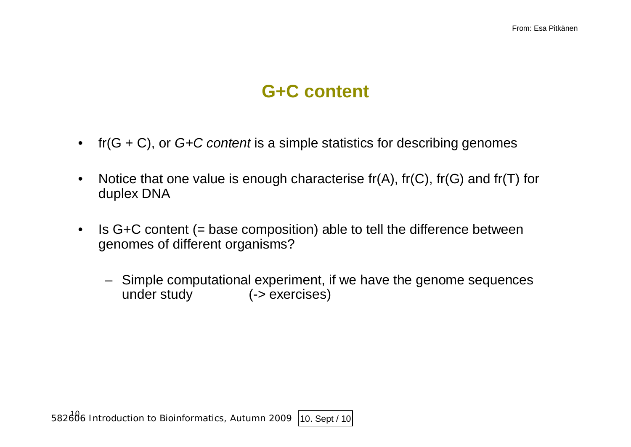# **G+C content**

- fr(G + C), or *G+C content* is a simple statistics for describing genomes
- Notice that one value is enough characterise  $fr(A)$ ,  $fr(C)$ ,  $fr(G)$  and  $fr(T)$  for duplex DNA
- Is G+C content (= base composition) able to tell the difference between genomes of different organisms?
	- Simple computational experiment, if we have the genome sequences under study (-> exercises)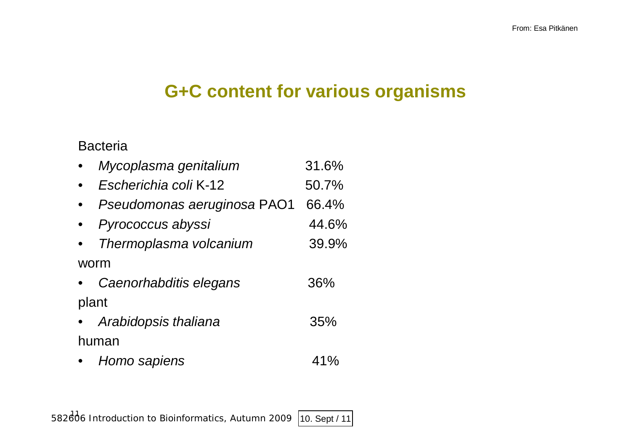# **G+C content for various organisms**

### Bacteria

|       | Mycoplasma genitalium       | 31.6% |
|-------|-----------------------------|-------|
|       | Escherichia coli K-12       | 50.7% |
|       | Pseudomonas aeruginosa PAO1 | 66.4% |
|       | Pyrococcus abyssi           | 44.6% |
|       | Thermoplasma volcanium      | 39.9% |
|       | worm                        |       |
|       | Caenorhabditis elegans      | 36%   |
| plant |                             |       |
|       | Arabidopsis thaliana        | 35%   |
|       | human                       |       |
|       | Homo sapiens                | 41%   |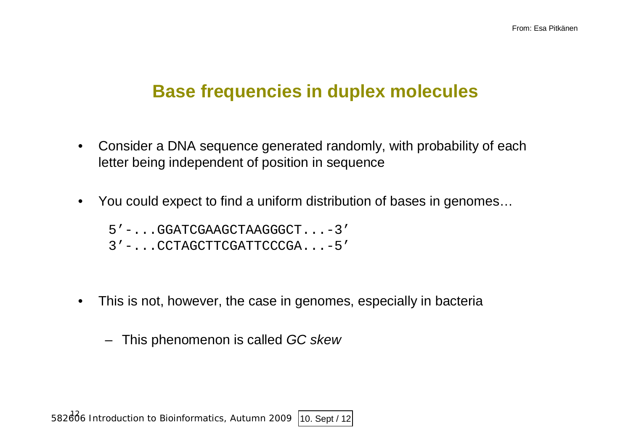# **Base frequencies in duplex molecules**

- Consider a DNA sequence generated randomly, with probability of each letter being independent of position in sequence
- You could expect to find a uniform distribution of bases in genomes...

5'-...GGATCGAAGCTAAGGGCT...-3'

3'-...CCTAGCTTCGATTCCCGA...-5'

• This is not, however, the case in genomes, especially in bacteria

– This phenomenon is called *GC skew*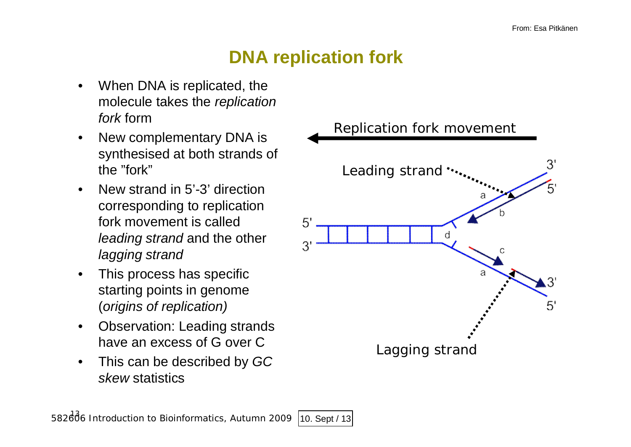# **DNA replication fork**

- When DNA is replicated, the molecule takes the *replication fork* form
- New complementary DNA is synthesised at both strands of the "fork"
- New strand in 5'-3' direction corresponding to replication fork movement is called *leading strand* and the other *lagging strand*
- This process has specific starting points in genome (*origins of replication)*
- Observation: Leading strands have an excess of G over C
- This can be described by *GC skew* statistics

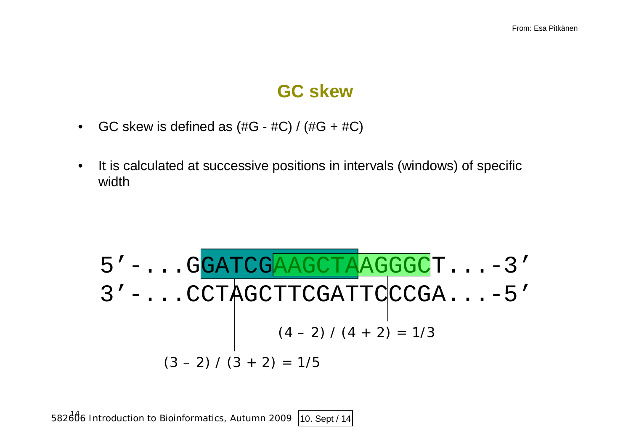### **GC skew**

- GC skew is defined as  $(\#G \#C) / (\#G + \#C)$
- It is calculated at successive positions in intervals (windows) of specific width

$$
5'-...GGATCGAAGCTAAGGGCT...-3'3'-...CCTAGCTTCGATTCCGA...-5'(4-2) / (4+2) = 1/3
$$
  
(3-2) / (3 + 2) = 1/5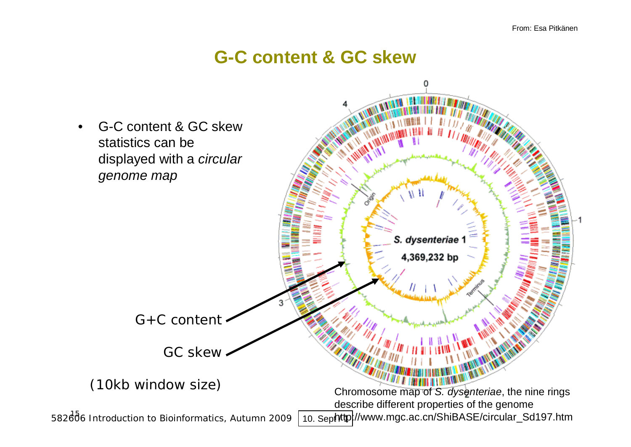# **G-C content & GC skew**

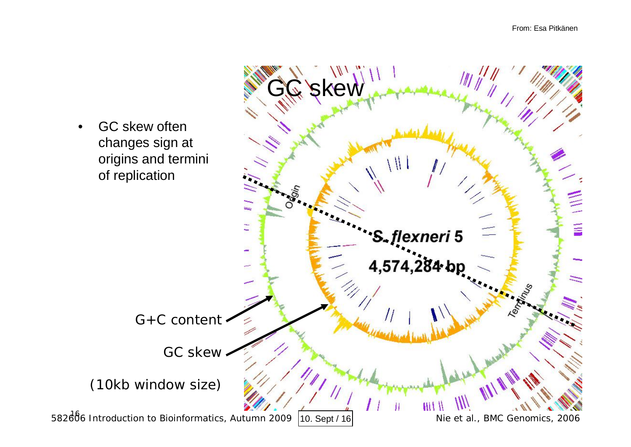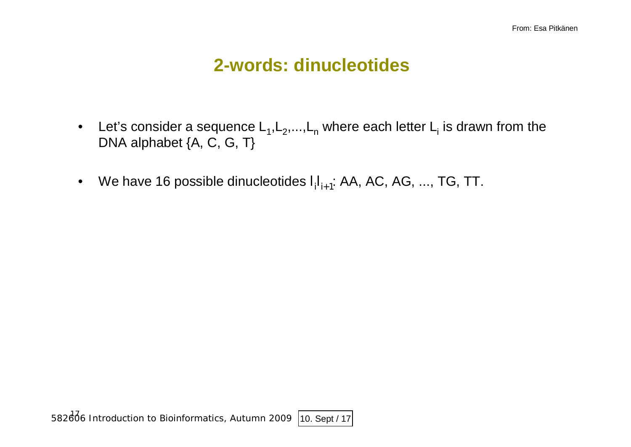# **2-words: dinucleotides**

- Let's consider a sequence  $\mathsf{L}_1,\mathsf{L}_2,...,\mathsf{L}_n$  where each letter  $\mathsf{L}_\mathsf{i}$  is drawn from the DNA alphabet {A, C, G, T}
- We have 16 possible dinucleotides  $I_iI_{i+1}$ : AA, AC, AG, ..., TG, TT.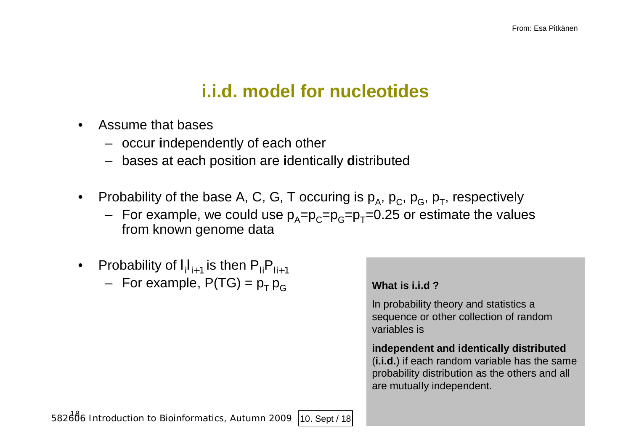# **i.i.d. model for nucleotides**

- Assume that bases
	- occur **i**ndependently of each other
	- bases at each position are **i**dentically **d**istributed
- Probability of the base A, C, G, T occuring is  $p_A$ ,  $p_C$ ,  $p_G$ ,  $p_T$ , respectively
	- For example, we could use  $p_A=p_C=p_G=p_T=0.25$  or estimate the values from known genome data
- Probability of  $I_{i}I_{i+1}$  is then  $P_{Ii}P_{Ii+1}$ 
	- $-$  For example, P(TG) =  $p_T p_G$

#### **What is i.i.d ?**

In probability theory and statistics a sequence or other collection of random variables is

#### **independent and identically distributed** (**i.i.d.**) if each random variable has the same probability distribution as the others and all are mutually independent.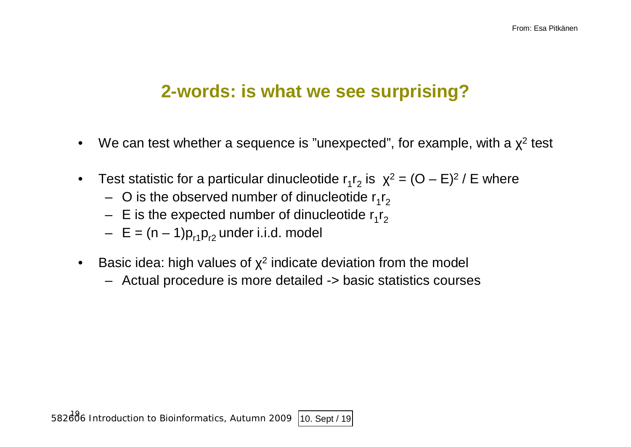### **2-words: is what we see surprising?**

- We can test whether a sequence is "unexpected", for example, with a  $\chi^2$  test
- Test statistic for a particular dinucleotide  $r_1r_2$  is  $\chi^2 = (O E)^2$  / E where
	- $-$  O is the observed number of dinucleotide  $r_1r_2$
	- $-$  E is the expected number of dinucleotide  $\mathsf{r_1}\mathsf{r_2}$
	- $E = (n 1)p_{r1}p_{r2}$  under i.i.d. model
- Basic idea: high values of  $\chi^2$  indicate deviation from the model
	- Actual procedure is more detailed -> basic statistics courses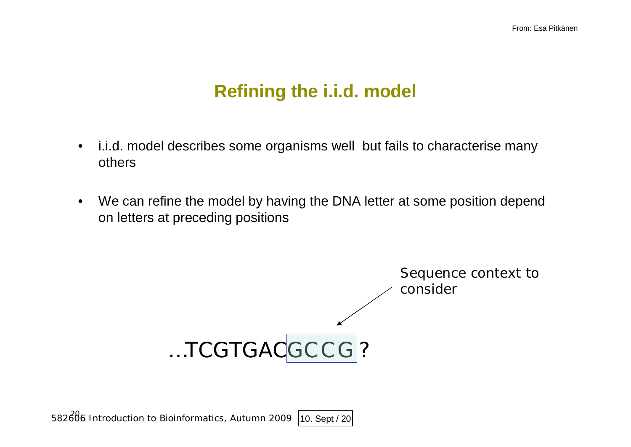# **Refining the i.i.d. model**

- i.i.d. model describes some organisms well but fails to characterise many others
- We can refine the model by having the DNA letter at some position depend on letters at preceding positions

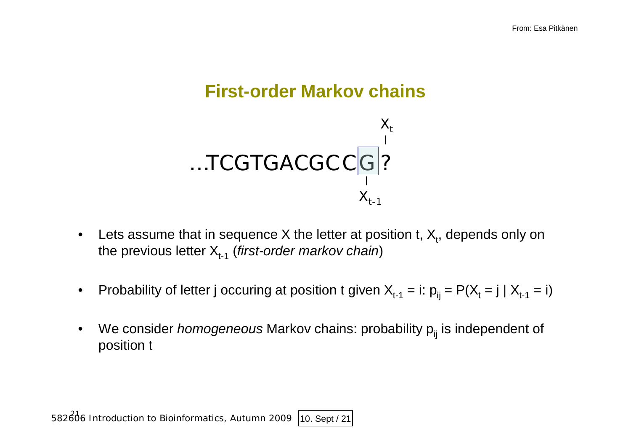# **First-order Markov chains**



- Lets assume that in sequence X the letter at position t,  $X_t$ , depends only on the previous letter  $X_{t-1}$  (*first-order markov chain*)
- Probability of letter j occuring at position t given  $X_{t-1} = i$ :  $p_{ij} = P(X_t = j | X_{t-1} = i)$
- We consider *homogeneous* Markov chains: probability p<sub>ij</sub> is independent of position t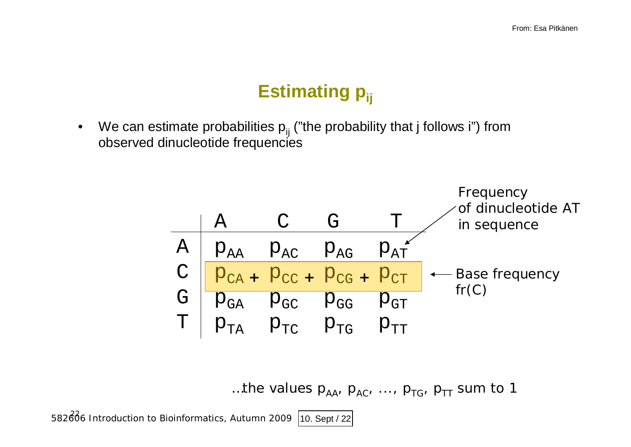# **Estimating p**<sub>ij</sub>

• We can estimate probabilities  $p_{ij}$  ("the probability that j follows i") from observed dinucleotide frequencies



...the values  $p_{AA}$ ,  $p_{AC}$ , ...,  $p_{TG}$ ,  $p_{TT}$  sum to 1

582606 Introduction to Bioinformatics, Autumn 2009 10. Sept / 22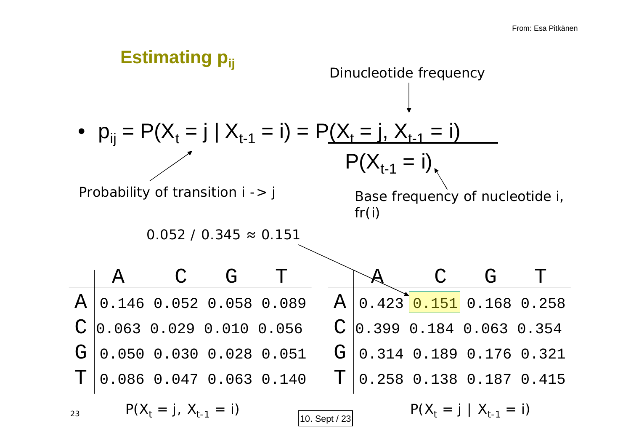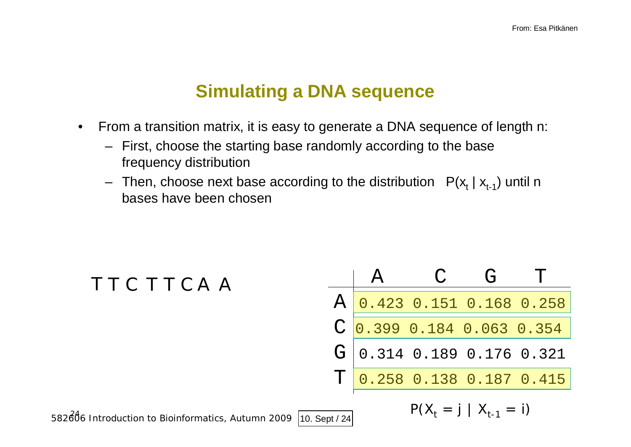# **Simulating a DNA sequence**

- From a transition matrix, it is easy to generate a DNA sequence of length n:
	- First, choose the starting base randomly according to the base frequency distribution
	- $-$  Then, choose next base according to the distribution  $P(\mathsf{x}_{\mathsf{t}} \mid \mathsf{x}_{\mathsf{t-1}})$  until n bases have been chosen

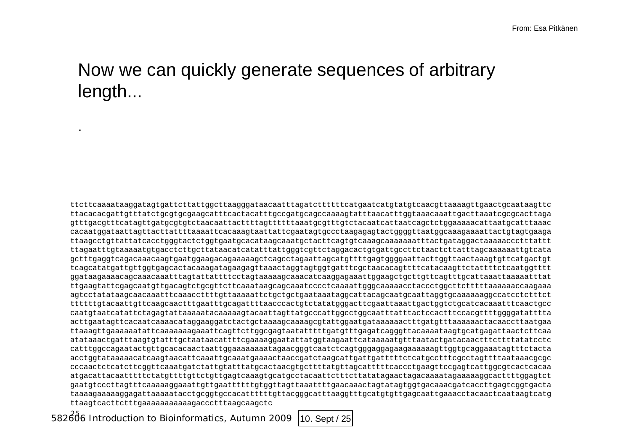# Now we can quickly generate sequences of arbitrary length...

ttcttcaaaataaggatagtgattcttattggcttaagggataacaatttagatcttttttcatgaatcatgtatgtcaacgttaaaagttgaactgcaataagttc ttacacacgattgtttatctgcgtgcgaagcatttcactacatttgccgatgcagccaaaagtatttaacatttggtaaacaaattgacttaaatcgcgcacttaga gtttgacgtttcatagttgatgcgtgtctaacaattacttttagttttttaaatgcgtttgtctacaatcattaatcagctctggaaaaacattaatgcatttaaac cacaatggataattagttacttattttaaaattcacaaagtaattattcgaatagtgccctaagagagtactggggttaatggcaaagaaaattactgtagtgaaga ttaagcctgttattatcacctgggtactctggtgaatgcacataagcaaatgctacttcagtgtcaaagcaaaaaaatttactgataggactaaaaaccctttattt ttagaatttgtaaaaatgtgacctcttgcttataacatcatatttattgggtcgttctaggacactgtgattgccttctaactcttatttagcaaaaaattgtcata gctttgaggtcagacaaacaagtgaatggaagacagaaaaagctcagcctagaattagcatgttttgagtggggaattacttggttaactaaagtgttcatgactgt tcagcatatgattgttggtgagcactacaaagatagaagagttaaactaggtagtggtgatttcgctaacacagttttcatacaagttctattttctcaatggtttt ggataagaaaacagcaaacaaatttagtattattttcctagtaaaaagcaaacatcaaggagaaattggaagctgcttgttcagtttgcattaaattaaaaatttat ttgaagtattcgagcaatgttgacagtctgcgttcttcaaataagcagcaaatcccctcaaaattgggcaaaaacctaccctggcttctttttaaaaaaccaagaaa agtcctatataagcaacaaatttcaaaccttttgttaaaaattctgctgctgaataaataggcattacagcaatgcaattaggtgcaaaaaaggccatcctctttct ttttttgtacaattgttcaagcaactttgaatttgcagattttaacccactgtctatatgggacttcgaattaaattgactggtctgcatcacaaatttcaactgcc caatgtaatcatattctagagtattaaaaatacaaaaagtacaattagttatgcccattggcctggcaatttatttactccactttccacgttttggggatatttta acttgaatagttcacaatcaaaacataggaaggatctactgctaaaagcaaaagcgtattggaatgataaaaaactttgatgtttaaaaaactacaaccttaatgaa ttaaagttgaaaaaatattcaaaaaaagaaattcagttcttggcgagtaatatttttgatgtttgagatcagggttacaaaataagtgcatgagattaactcttcaa atataaactgatttaagtgtatttgctaataacattttcgaaaaggaatattatggtaagaattcataaaaatgtttaatactgatacaactttcttttatatcctc catttggccagaatactgttgcacacaactaattggaaaaaaaatagaacgggtcaatctcagtgggaggagaagaaaaaagttggtgcaggaaatagtttctacta acctggtataaaaacatcaagtaacattcaaattgcaaatgaaaactaaccgatctaagcattgattgatttttctcatgcctttcgcctagttttaataaacgcgc cccaactctcatcttcggttcaaatgatctattgtatttatgcactaacgtgcttttatgttagcatttttcaccctgaagttccgagtcattggcgtcactcacaa atgacattacaatttttctatgttttgttctgttgagtcaaagtgcatgcctacaattctttcttatatagaactagacaaaatagaaaaaggcacttttggagtct gaatgtcccttagtttcaaaaaggaaattgttgaattttttgtggttagttaaattttgaacaaactagtatagtggtgacaaacgatcaccttgagtcggtgacta taaaagaaaaaggagattaaaaatacctgcggtgccacattttttgttacgggcatttaaggtttgcatgtgttgagcaattgaaacctacaactcaataagtcatg ttaagtcacttctttgaaaaaaaaaaagaccctttaagcaagctc

582606 Introduction to Bioinformatics, Autumn 2009 10. Sept / 25

.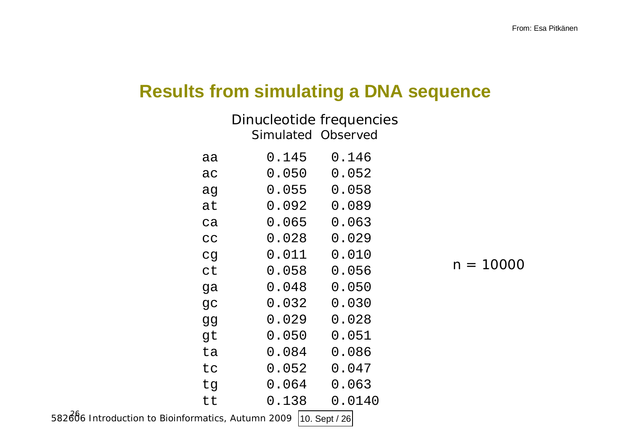# **Results from simulating a DNA sequence**

|    | Dinucleotide frequencies |        |  |
|----|--------------------------|--------|--|
|    | Simulated Observed       |        |  |
| aa | 0.145                    | 0.146  |  |
| ac | 0.050                    | 0.052  |  |
| ag | 0.055                    | 0.058  |  |
| at | 0.092                    | 0.089  |  |
| ca | 0.065                    | 0.063  |  |
| CC | 0.028                    | 0.029  |  |
| cg | 0.011                    | 0.010  |  |
| ct | 0.058                    | 0.056  |  |
| ga | 0.048                    | 0.050  |  |
| gc | 0.032                    | 0.030  |  |
| gg | 0.029                    | 0.028  |  |
| gt | 0.050                    | 0.051  |  |
| ta | 0.084                    | 0.086  |  |
| tc | 0.052                    | 0.047  |  |
| tg | 0.064                    | 0.063  |  |
| tt | 0.138                    | 0.0140 |  |

582606 Introduction to Bioinformatics, Autumn 2009 10. Sept / 26

 $n = 10000$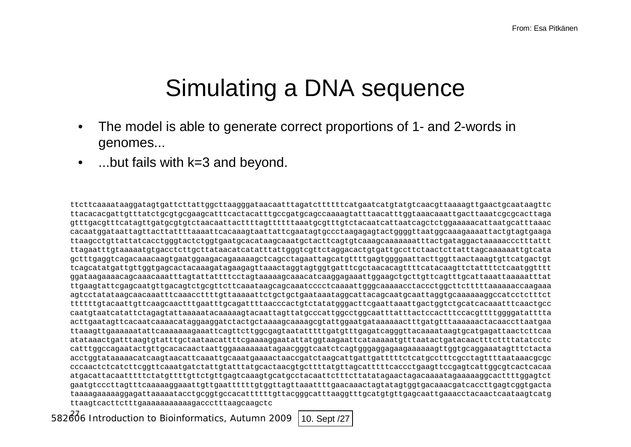# Simulating a DNA sequence

- The model is able to generate correct proportions of 1- and 2-words in genomes...
- ...but fails with k=3 and beyond.

ttcttcaaaataaggatagtgattcttattggcttaagggataacaatttagatcttttttcatgaatcatgtatgtcaacgttaaaagttgaactgcaataagttc ttacacacgattgtttatctgcgtgcgaagcatttcactacatttgccgatgcagccaaaagtatttaacatttggtaaacaaattgacttaaatcgcgcacttaga gtttgacgtttcatagttgatgcgtgtctaacaattacttttagttttttaaatgcgtttgtctacaatcattaatcagctctggaaaaacattaatgcatttaaac cacaatggataattagttacttattttaaaattcacaaagtaattattcgaatagtgccctaagagagtactggggttaatggcaaagaaaattactgtagtgaaga ttaagcctgttattatcacctgggtactctggtgaatgcacataagcaaatgctacttcagtgtcaaagcaaaaaaatttactgataggactaaaaaccctttattt ttagaatttgtaaaaatgtgacctcttgcttataacatcatatttattgggtcgttctaggacactgtgattgccttctaactcttatttagcaaaaaattgtcata gctttgaggtcagacaaacaagtgaatggaagacagaaaaagctcagcctagaattagcatgttttgagtggggaattacttggttaactaaagtgttcatgactgt tcagcatatgattgttggtgagcactacaaagatagaagagttaaactaggtagtggtgatttcgctaacacagttttcatacaagttctattttctcaatggtttt ggataagaaaacagcaaacaaatttagtattattttcctagtaaaaagcaaacatcaaggagaaattggaagctgcttgttcagtttgcattaaattaaaaatttat ttgaagtattcgagcaatgttgacagtctgcgttcttcaaataagcagcaaatcccctcaaaattgggcaaaaacctaccctggcttctttttaaaaaaccaagaaa agtcctatataagcaacaaatttcaaaccttttgttaaaaattctgctgctgaataaataggcattacagcaatgcaattaggtgcaaaaaaggccatcctctttct ttttttgtacaattgttcaagcaactttgaatttgcagattttaacccactgtctatatgggacttcgaattaaattgactggtctgcatcacaaatttcaactgcc caatgtaatcatattctagagtattaaaaatacaaaaagtacaattagttatgcccattggcctggcaatttatttactccactttccacgttttggggatatttta acttgaatagttcacaatcaaaacataggaaggatctactgctaaaagcaaaagcgtattggaatgataaaaaactttgatgtttaaaaaactacaaccttaatgaa ttaaagttgaaaaaatattcaaaaaaagaaattcagttcttggcgagtaatatttttgatgtttgagatcagggttacaaaataagtgcatgagattaactcttcaa atataaactgatttaagtgtatttgctaataacattttcgaaaaggaatattatggtaagaattcataaaaatgtttaatactgatacaactttcttttatatcctc catttggccagaatactgttgcacacaactaattggaaaaaaaatagaacgggtcaatctcagtgggaggagaagaaaaaagttggtgcaggaaatagtttctacta acctggtataaaaacatcaagtaacattcaaattgcaaatgaaaactaaccgatctaagcattgattgatttttctcatgcctttcgcctagttttaataaacgcgc cccaactctcatcttcggttcaaatgatctattgtatttatgcactaacgtgcttttatgttagcatttttcaccctgaagttccgagtcattggcgtcactcacaa atgacattacaatttttctatgttttgttctgttgagtcaaagtgcatgcctacaattctttcttatatagaactagacaaaatagaaaaaggcacttttggagtct gaatgtcccttagtttcaaaaaggaaattgttgaattttttgtggttagttaaattttgaacaaactagtatagtggtgacaaacgatcaccttgagtcggtgacta taaaagaaaaaggagattaaaaatacctgcggtgccacattttttgttacgggcatttaaggtttgcatgtgttgagcaattgaaacctacaactcaataagtcatg ttaagtcacttctttgaaaaaaaaaaagaccctttaagcaagctc

582606 Introduction to Bioinformatics, Autumn 2009 10. Sept /27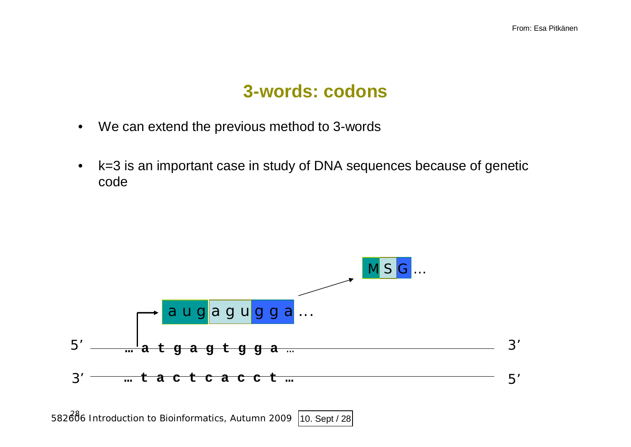### **3-words: codons**

- We can extend the previous method to 3-words
- k=3 is an important case in study of DNA sequences because of genetic code



582686 Introduction to Bioinformatics, Autumn 2009 10. Sept / 28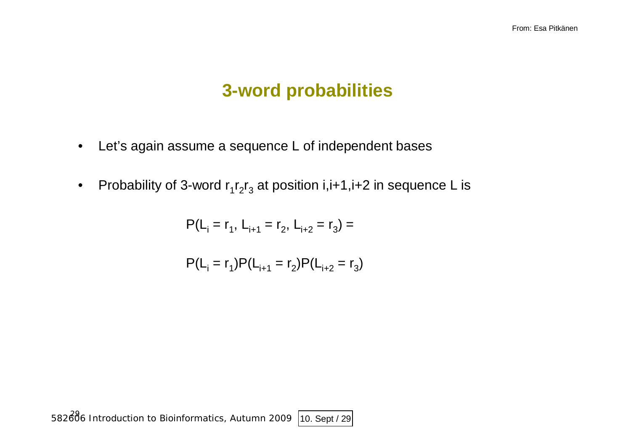# **3-word probabilities**

- Let's again assume a sequence L of independent bases
- Probability of 3-word  $r_1r_2r_3$  at position i,i+1,i+2 in sequence L is

$$
P(L_i = r_1, L_{i+1} = r_2, L_{i+2} = r_3) =
$$

$$
P(L_i = r_1)P(L_{i+1} = r_2)P(L_{i+2} = r_3)
$$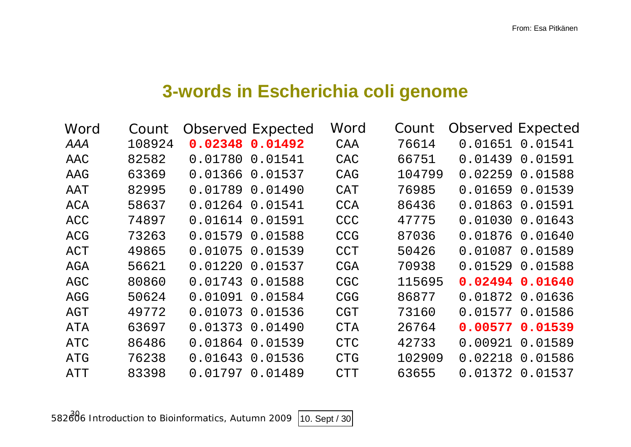# **3-words in Escherichia coli genome**

| Word       | Count  |         | <b>Observed Expected</b> | Word       | Count  | <b>Observed Expected</b> |         |
|------------|--------|---------|--------------------------|------------|--------|--------------------------|---------|
| AAA        | 108924 |         | 0.02348 0.01492          | CAA        | 76614  | 0.01651                  | 0.01541 |
| AAC        | 82582  | 0.01780 | 0.01541                  | CAC        | 66751  | 0.01439                  | 0.01591 |
| AAG        | 63369  |         | 0.01366 0.01537          | CAG        | 104799 | 0.02259                  | 0.01588 |
| AAT        | 82995  | 0.01789 | 0.01490                  | <b>CAT</b> | 76985  | 0.01659                  | 0.01539 |
| ACA        | 58637  | 0.01264 | 0.01541                  | <b>CCA</b> | 86436  | 0.01863                  | 0.01591 |
| ACC        | 74897  | 0.01614 | 0.01591                  | <b>CCC</b> | 47775  | 0.01030                  | 0.01643 |
| <b>ACG</b> | 73263  | 0.01579 | 0.01588                  | <b>CCG</b> | 87036  | 0.01876                  | 0.01640 |
| ACT        | 49865  | 0.01075 | 0.01539                  | <b>CCT</b> | 50426  | 0.01087                  | 0.01589 |
| AGA        | 56621  | 0.01220 | 0.01537                  | <b>CGA</b> | 70938  | 0.01529                  | 0.01588 |
| AGC        | 80860  | 0.01743 | 0.01588                  | <b>CGC</b> | 115695 | 0.02494                  | 0.01640 |
| AGG        | 50624  | 0.01091 | 0.01584                  | <b>CGG</b> | 86877  | 0.01872                  | 0.01636 |
| AGT        | 49772  | 0.01073 | 0.01536                  | <b>CGT</b> | 73160  | 0.01577                  | 0.01586 |
| ATA        | 63697  | 0.01373 | 0.01490                  | <b>CTA</b> | 26764  | 0.00577                  | 0.01539 |
| ATC        | 86486  | 0.01864 | 0.01539                  | <b>CTC</b> | 42733  | 0.00921                  | 0.01589 |
| ATG        | 76238  | 0.01643 | 0.01536                  | <b>CTG</b> | 102909 | 0.02218                  | 0.01586 |
| ATT        | 83398  | 0.01797 | 0.01489                  | <b>CTT</b> | 63655  | 0.01372                  | 0.01537 |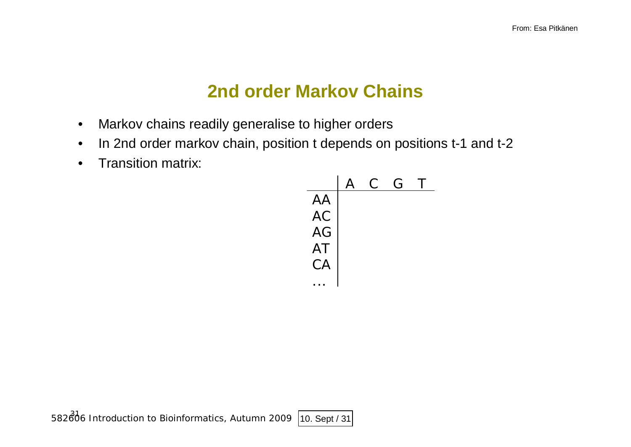# **2nd order Markov Chains**

- Markov chains readily generalise to higher orders
- In 2nd order markov chain, position t depends on positions t-1 and t-2
- Transition matrix:

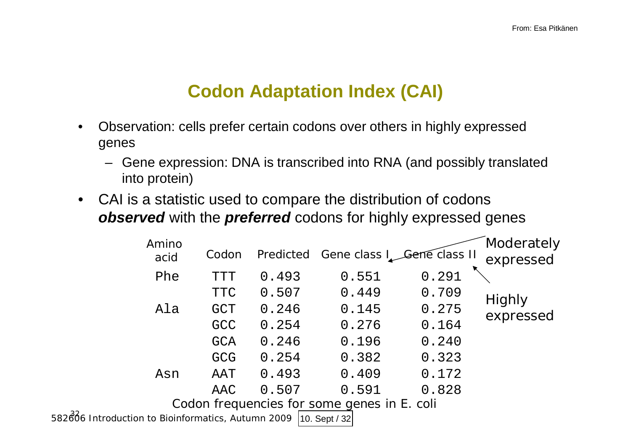# **Codon Adaptation Index (CAI)**

- Observation: cells prefer certain codons over others in highly expressed genes
	- Gene expression: DNA is transcribed into RNA (and possibly translated into protein)
- CAI is a statistic used to compare the distribution of codons *observed* with the *preferred* codons for highly expressed genes

|                                                    | Amino<br>acid | Codon      |       | Predicted Gene class I Gene class II        |       | Moderately<br>expressed |
|----------------------------------------------------|---------------|------------|-------|---------------------------------------------|-------|-------------------------|
|                                                    | Phe           | <b>TTT</b> | 0.493 | 0.551                                       | 0.291 |                         |
|                                                    |               | <b>TTC</b> | 0.507 | 0.449                                       | 0.709 | Highly                  |
|                                                    | Ala           | <b>GCT</b> | 0.246 | 0.145                                       | 0.275 | expressed               |
|                                                    |               | <b>GCC</b> | 0.254 | 0.276                                       | 0.164 |                         |
|                                                    |               | <b>GCA</b> | 0.246 | 0.196                                       | 0.240 |                         |
|                                                    |               | <b>GCG</b> | 0.254 | 0.382                                       | 0.323 |                         |
|                                                    | Asn           | AAT        | 0.493 | 0.409                                       | 0.172 |                         |
|                                                    |               | AAC        | 0.507 | 0.591                                       | 0.828 |                         |
|                                                    |               |            |       | Codon frequencies for some genes in E. coli |       |                         |
| 582806 Introduction to Bioinformatics, Autumn 2009 |               |            |       | $ 10.$ Sept / 32                            |       |                         |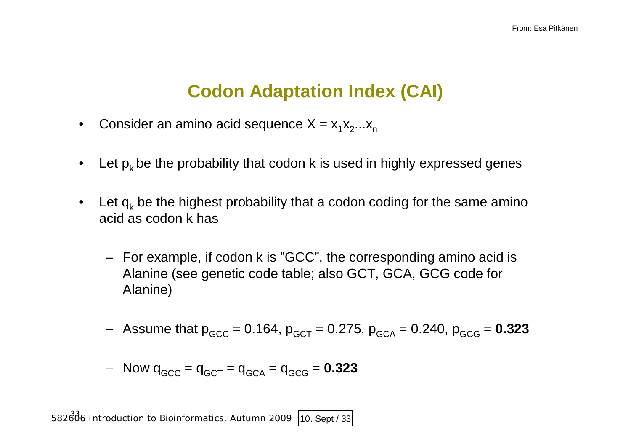# **Codon Adaptation Index (CAI)**

- Consider an amino acid sequence  $X = x_1 x_2 ... x_n$
- Let  $p_k$  be the probability that codon k is used in highly expressed genes
- Let  $q_k$  be the highest probability that a codon coding for the same amino acid as codon k has
	- For example, if codon k is "GCC", the corresponding amino acid is Alanine (see genetic code table; also GCT, GCA, GCG code for Alanine)
	- $-$  Assume that  $p_{GCC} = 0.164$ ,  $p_{GCT} = 0.275$ ,  $p_{GCA} = 0.240$ ,  $p_{GCG} = 0.323$

$$
- \quad \text{Now } q_{\text{GCC}} = q_{\text{GCT}} = q_{\text{GCA}} = q_{\text{GCG}} = 0.323
$$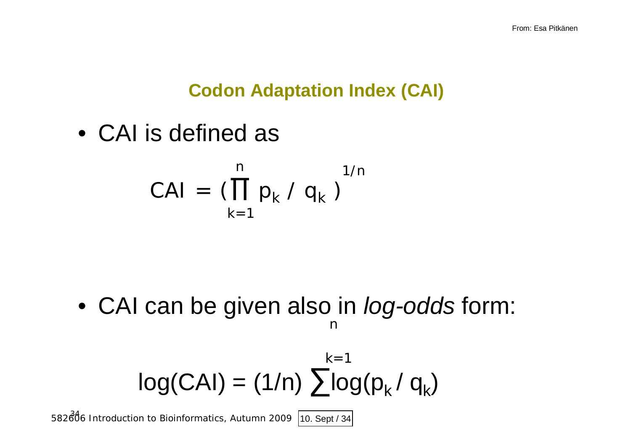# **Codon Adaptation Index (CAI)**

• CAI is defined as

$$
CAI = (\prod_{k=1}^{n} p_k / q_k)^{1/n}
$$

• CAI can be given also in *log-odds* form: n

$$
log(CAI) = (1/n) \sum_{k=1}^{k=1} log(p_k / q_k)
$$

582806 Introduction to Bioinformatics, Autumn 2009 10. Sept / 34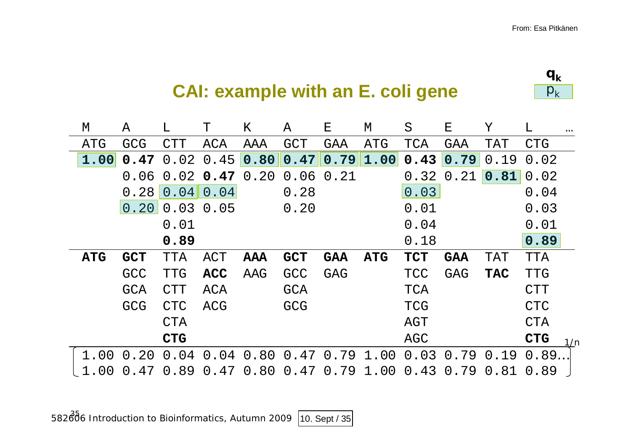

# **CAI: example with an E. coli gene**

| М          | Α          | L          | Т          | Κ    | Α                          | Е          | М          | S          | Е          | Υ          | L          | $\bullet\bullet\bullet$ |
|------------|------------|------------|------------|------|----------------------------|------------|------------|------------|------------|------------|------------|-------------------------|
| ATG        | <b>GCG</b> | CTT        | ACA        | AAA  | <b>GCT</b>                 | GAA        | ATG        | TCA        | GAA        | TAT        | <b>CTG</b> |                         |
| 1.00       | 0.47       | 0.02       | 0.45       | 0.80 | 0.47                       | 0.79       | 1.00       | 0.43       | 0.79       | 0.19       | 0.02       |                         |
|            | 0.06       | 0.02       | 0.47       | 0.20 | $0.06$ $0.21$              |            |            | 0.32       | 0.21       | 0.81       | 0.02       |                         |
|            | 0.28       | 0.04       | 0.04       |      | 0.28                       |            |            | 0.03       |            |            | 0.04       |                         |
|            | 0.20       | 0.03       | 0.05       |      | 0.20                       |            |            | 0.01       |            |            | 0.03       |                         |
|            |            | 0.01       |            |      |                            |            |            | 0.04       |            |            | 0.01       |                         |
|            |            | 0.89       |            |      |                            |            |            | 0.18       |            |            | 0.89       |                         |
| <b>ATG</b> | <b>GCT</b> | TTA        | ACT        | AAA  | <b>GCT</b>                 | <b>GAA</b> | <b>ATG</b> | <b>TCT</b> | <b>GAA</b> | TAT        | <b>TTA</b> |                         |
|            | <b>GCC</b> | <b>TTG</b> | <b>ACC</b> | AAG  | GCC                        | <b>GAG</b> |            | <b>TCC</b> | <b>GAG</b> | <b>TAC</b> | <b>TTG</b> |                         |
|            | <b>GCA</b> | CTT        | ACA        |      | <b>GCA</b>                 |            |            | <b>TCA</b> |            |            | <b>CTT</b> |                         |
|            | <b>GCG</b> | <b>CTC</b> | ACG        |      | GCG                        |            |            | <b>TCG</b> |            |            | <b>CTC</b> |                         |
|            |            | CTA        |            |      |                            |            |            | AGT        |            |            | <b>CTA</b> |                         |
|            |            | <b>CTG</b> |            |      |                            |            |            | AGC        |            |            | <b>CTG</b> | 1/n                     |
| 1.00       | 0.20       | 0.04       |            |      | $0.04$ 0.80 0.47 0.79 1.00 |            |            | 0.03       | 0.79       | 0.19       | 0.89       |                         |
|            | 0.47       | 0.89       | 0.47       | 0.80 | 0.47                       | 0.79       | 1.00       | 0.43       | 0.79       | 0.81       | 0.89       |                         |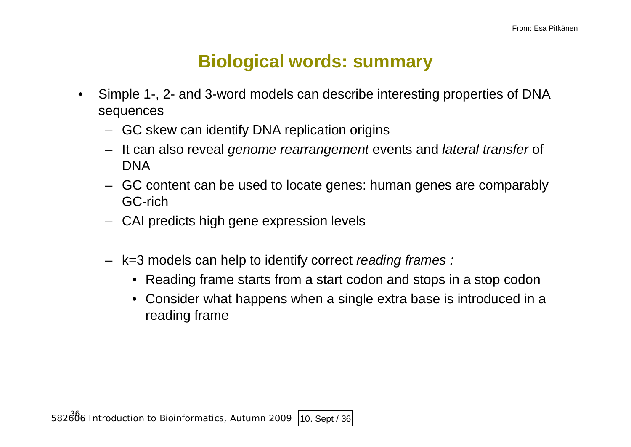# **Biological words: summary**

- Simple 1-, 2- and 3-word models can describe interesting properties of DNA sequences
	- GC skew can identify DNA replication origins
	- It can also reveal *genome rearrangement* events and *lateral transfer* of DNA
	- GC content can be used to locate genes: human genes are comparably GC-rich
	- CAI predicts high gene expression levels
	- k=3 models can help to identify correct *reading frames :*
		- Reading frame starts from a start codon and stops in a stop codon
		- Consider what happens when a single extra base is introduced in a reading frame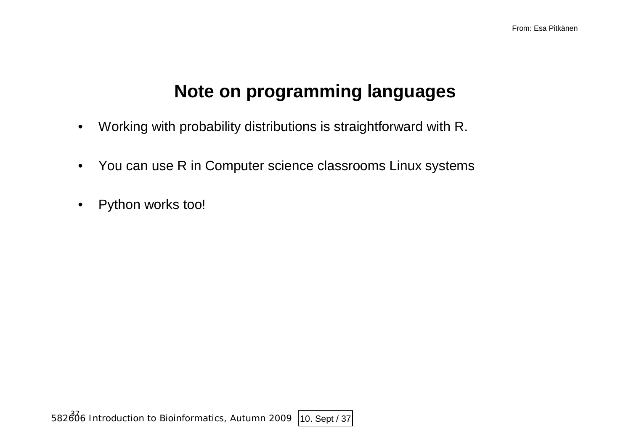# **Note on programming languages**

- Working with probability distributions is straightforward with R.
- You can use R in Computer science classrooms Linux systems
- Python works too!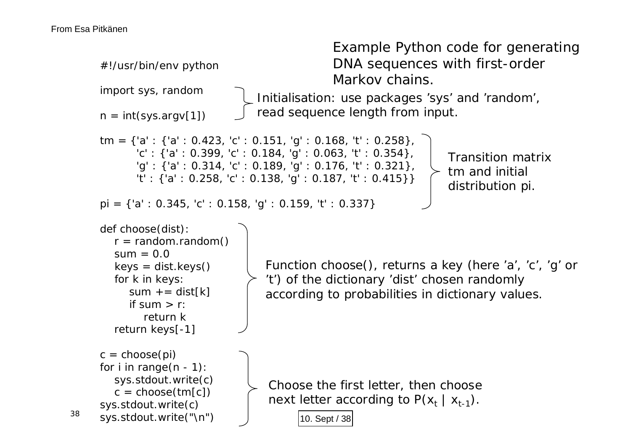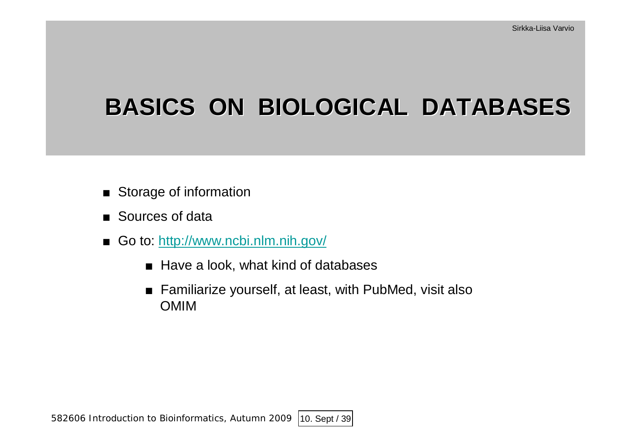# **BASICS ON BIOLOGICAL DATABASES**

- $\blacksquare$  Storage of information
- $\blacksquare$  Sources of data
- Go to: <http://www.ncbi.nlm.nih.gov/>
	- $\blacksquare$  Have a look, what kind of databases
	- $\blacksquare$  Familiarize yourself, at least, with PubMed, visit also OMIM